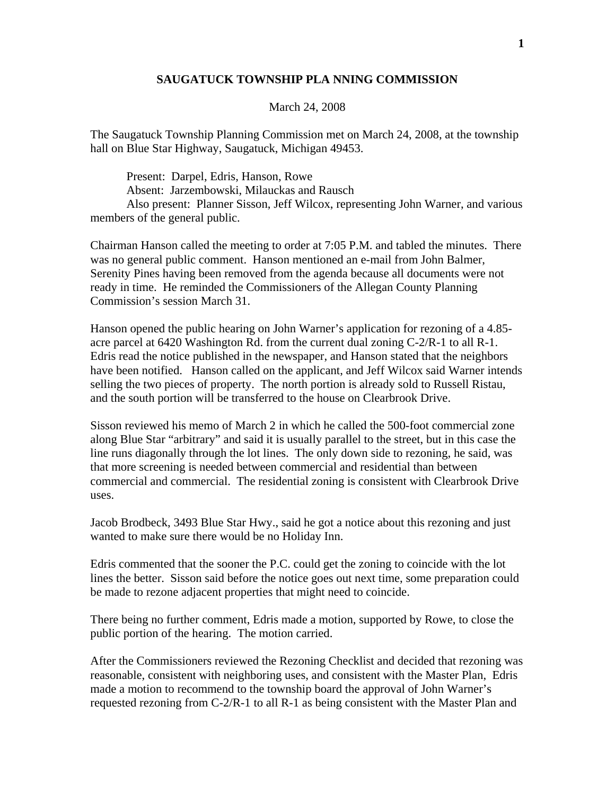## **SAUGATUCK TOWNSHIP PLA NNING COMMISSION**

## March 24, 2008

The Saugatuck Township Planning Commission met on March 24, 2008, at the township hall on Blue Star Highway, Saugatuck, Michigan 49453.

 Present: Darpel, Edris, Hanson, Rowe Absent: Jarzembowski, Milauckas and Rausch Also present: Planner Sisson, Jeff Wilcox, representing John Warner, and various members of the general public.

Chairman Hanson called the meeting to order at 7:05 P.M. and tabled the minutes. There was no general public comment. Hanson mentioned an e-mail from John Balmer, Serenity Pines having been removed from the agenda because all documents were not ready in time. He reminded the Commissioners of the Allegan County Planning Commission's session March 31.

Hanson opened the public hearing on John Warner's application for rezoning of a 4.85 acre parcel at 6420 Washington Rd. from the current dual zoning C-2/R-1 to all R-1. Edris read the notice published in the newspaper, and Hanson stated that the neighbors have been notified. Hanson called on the applicant, and Jeff Wilcox said Warner intends selling the two pieces of property. The north portion is already sold to Russell Ristau, and the south portion will be transferred to the house on Clearbrook Drive.

Sisson reviewed his memo of March 2 in which he called the 500-foot commercial zone along Blue Star "arbitrary" and said it is usually parallel to the street, but in this case the line runs diagonally through the lot lines. The only down side to rezoning, he said, was that more screening is needed between commercial and residential than between commercial and commercial. The residential zoning is consistent with Clearbrook Drive uses.

Jacob Brodbeck, 3493 Blue Star Hwy., said he got a notice about this rezoning and just wanted to make sure there would be no Holiday Inn.

Edris commented that the sooner the P.C. could get the zoning to coincide with the lot lines the better. Sisson said before the notice goes out next time, some preparation could be made to rezone adjacent properties that might need to coincide.

There being no further comment, Edris made a motion, supported by Rowe, to close the public portion of the hearing. The motion carried.

After the Commissioners reviewed the Rezoning Checklist and decided that rezoning was reasonable, consistent with neighboring uses, and consistent with the Master Plan, Edris made a motion to recommend to the township board the approval of John Warner's requested rezoning from C-2/R-1 to all R-1 as being consistent with the Master Plan and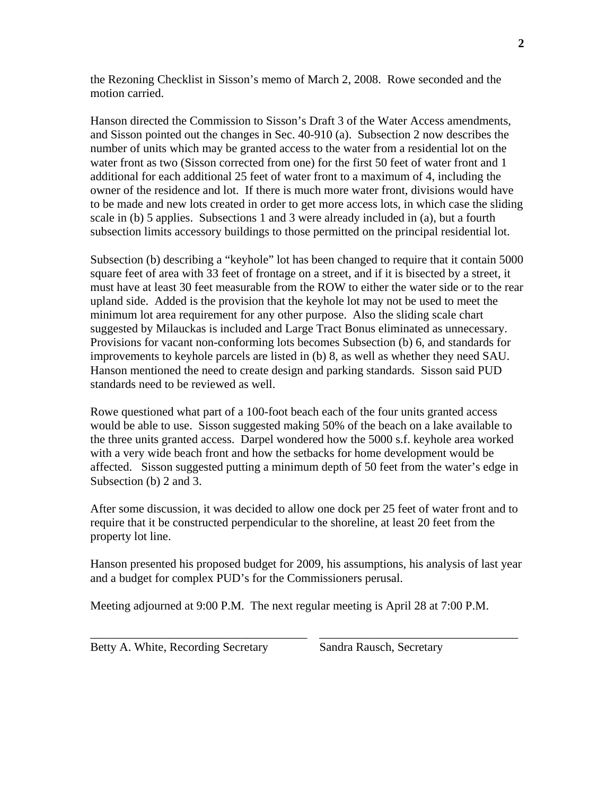the Rezoning Checklist in Sisson's memo of March 2, 2008. Rowe seconded and the motion carried.

Hanson directed the Commission to Sisson's Draft 3 of the Water Access amendments, and Sisson pointed out the changes in Sec. 40-910 (a). Subsection 2 now describes the number of units which may be granted access to the water from a residential lot on the water front as two (Sisson corrected from one) for the first 50 feet of water front and 1 additional for each additional 25 feet of water front to a maximum of 4, including the owner of the residence and lot. If there is much more water front, divisions would have to be made and new lots created in order to get more access lots, in which case the sliding scale in (b) 5 applies. Subsections 1 and 3 were already included in (a), but a fourth subsection limits accessory buildings to those permitted on the principal residential lot.

Subsection (b) describing a "keyhole" lot has been changed to require that it contain 5000 square feet of area with 33 feet of frontage on a street, and if it is bisected by a street, it must have at least 30 feet measurable from the ROW to either the water side or to the rear upland side. Added is the provision that the keyhole lot may not be used to meet the minimum lot area requirement for any other purpose. Also the sliding scale chart suggested by Milauckas is included and Large Tract Bonus eliminated as unnecessary. Provisions for vacant non-conforming lots becomes Subsection (b) 6, and standards for improvements to keyhole parcels are listed in (b) 8, as well as whether they need SAU. Hanson mentioned the need to create design and parking standards. Sisson said PUD standards need to be reviewed as well.

Rowe questioned what part of a 100-foot beach each of the four units granted access would be able to use. Sisson suggested making 50% of the beach on a lake available to the three units granted access. Darpel wondered how the 5000 s.f. keyhole area worked with a very wide beach front and how the setbacks for home development would be affected. Sisson suggested putting a minimum depth of 50 feet from the water's edge in Subsection (b) 2 and 3.

After some discussion, it was decided to allow one dock per 25 feet of water front and to require that it be constructed perpendicular to the shoreline, at least 20 feet from the property lot line.

Hanson presented his proposed budget for 2009, his assumptions, his analysis of last year and a budget for complex PUD's for the Commissioners perusal.

\_\_\_\_\_\_\_\_\_\_\_\_\_\_\_\_\_\_\_\_\_\_\_\_\_\_\_\_\_\_\_\_\_\_\_\_ \_\_\_\_\_\_\_\_\_\_\_\_\_\_\_\_\_\_\_\_\_\_\_\_\_\_\_\_\_\_\_\_\_

Meeting adjourned at 9:00 P.M. The next regular meeting is April 28 at 7:00 P.M.

Betty A. White, Recording Secretary Sandra Rausch, Secretary